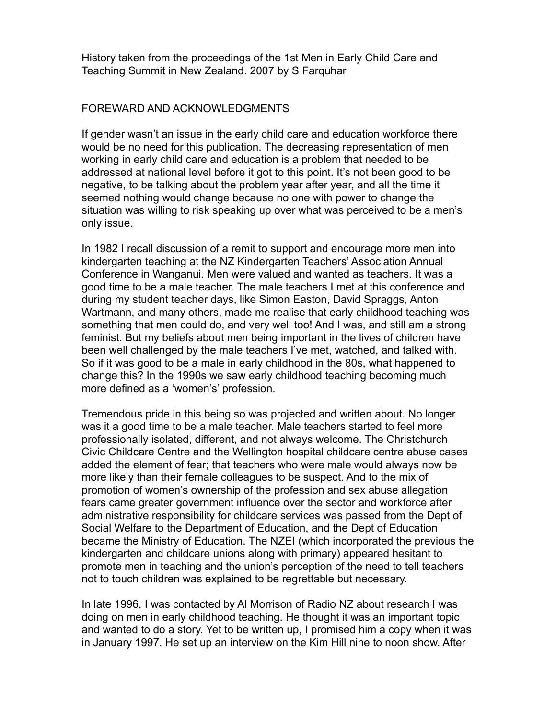History taken from the proceedings of the 1st Men in Early Child Care and Teaching Summit in New Zealand. 2007 by S Farquhar

## FOREWARD AND ACKNOWLEDGMENTS

If gender wasn't an issue in the early child care and education workforce there would be no need for this publication. The decreasing representation of men working in early child care and education is a problem that needed to be addressed at national level before it got to this point. It's not been good to be negative, to be talking about the problem year after year, and all the time it seemed nothing would change because no one with power to change the situation was willing to risk speaking up over what was perceived to be a men's only issue.

In 1982 I recall discussion of a remit to support and encourage more men into kindergarten teaching at the NZ Kindergarten Teachers' Association Annual Conference in Wanganui. Men were valued and wanted as teachers. It was a good time to be a male teacher. The male teachers I met at this conference and during my student teacher days, like Simon Easton, David Spraggs, Anton Wartmann, and many others, made me realise that early childhood teaching was something that men could do, and very well too! And I was, and still am a strong feminist. But my beliefs about men being important in the lives of children have been well challenged by the male teachers I've met, watched, and talked with. So if it was good to be a male in early childhood in the 80s, what happened to change this? In the 1990s we saw early childhood teaching becoming much more defined as a 'women's' profession.

Tremendous pride in this being so was projected and written about. No longer was it a good time to be a male teacher. Male teachers started to feel more professionally isolated, different, and not always welcome. The Christchurch Civic Childcare Centre and the Wellington hospital childcare centre abuse cases added the element of fear; that teachers who were male would always now be more likely than their female colleagues to be suspect. And to the mix of promotion of women's ownership of the profession and sex abuse allegation fears came greater government influence over the sector and workforce after administrative responsibility for childcare services was passed from the Dept of Social Welfare to the Department of Education, and the Dept of Education became the Ministry of Education. The NZEI (which incorporated the previous the kindergarten and childcare unions along with primary) appeared hesitant to promote men in teaching and the union's perception of the need to tell teachers not to touch children was explained to be regrettable but necessary.

In late 1996, I was contacted by Al Morrison of Radio NZ about research I was doing on men in early childhood teaching. He thought it was an important topic and wanted to do a story. Yet to be written up, I promised him a copy when it was in January 1997. He set up an interview on the Kim Hill nine to noon show. After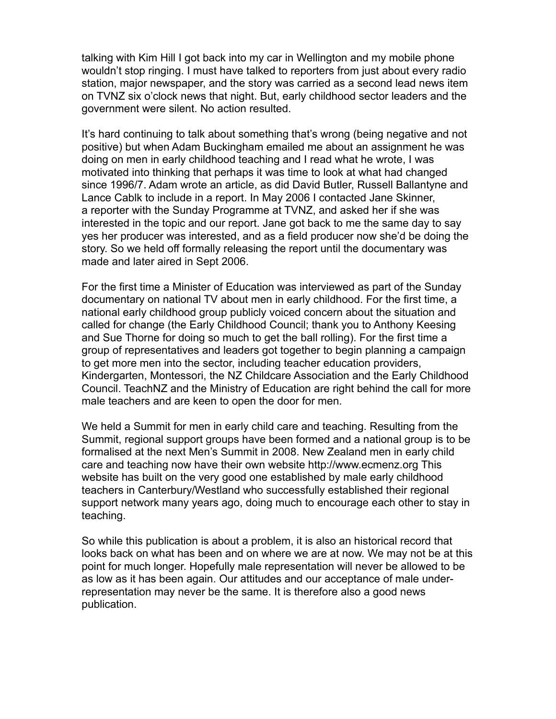talking with Kim Hill I got back into my car in Wellington and my mobile phone wouldn't stop ringing. I must have talked to reporters from just about every radio station, major newspaper, and the story was carried as a second lead news item on TVNZ six o'clock news that night. But, early childhood sector leaders and the government were silent. No action resulted.

It's hard continuing to talk about something that's wrong (being negative and not positive) but when Adam Buckingham emailed me about an assignment he was doing on men in early childhood teaching and I read what he wrote, I was motivated into thinking that perhaps it was time to look at what had changed since 1996/7. Adam wrote an article, as did David Butler, Russell Ballantyne and Lance Cablk to include in a report. In May 2006 I contacted Jane Skinner, a reporter with the Sunday Programme at TVNZ, and asked her if she was interested in the topic and our report. Jane got back to me the same day to say yes her producer was interested, and as a field producer now she'd be doing the story. So we held off formally releasing the report until the documentary was made and later aired in Sept 2006.

For the first time a Minister of Education was interviewed as part of the Sunday documentary on national TV about men in early childhood. For the first time, a national early childhood group publicly voiced concern about the situation and called for change (the Early Childhood Council; thank you to Anthony Keesing and Sue Thorne for doing so much to get the ball rolling). For the first time a group of representatives and leaders got together to begin planning a campaign to get more men into the sector, including teacher education providers, Kindergarten, Montessori, the NZ Childcare Association and the Early Childhood Council. TeachNZ and the Ministry of Education are right behind the call for more male teachers and are keen to open the door for men.

We held a Summit for men in early child care and teaching. Resulting from the Summit, regional support groups have been formed and a national group is to be formalised at the next Men's Summit in 2008. New Zealand men in early child care and teaching now have their own website http://www.ecmenz.org This website has built on the very good one established by male early childhood teachers in Canterbury/Westland who successfully established their regional support network many years ago, doing much to encourage each other to stay in teaching.

So while this publication is about a problem, it is also an historical record that looks back on what has been and on where we are at now. We may not be at this point for much longer. Hopefully male representation will never be allowed to be as low as it has been again. Our attitudes and our acceptance of male underrepresentation may never be the same. It is therefore also a good news publication.